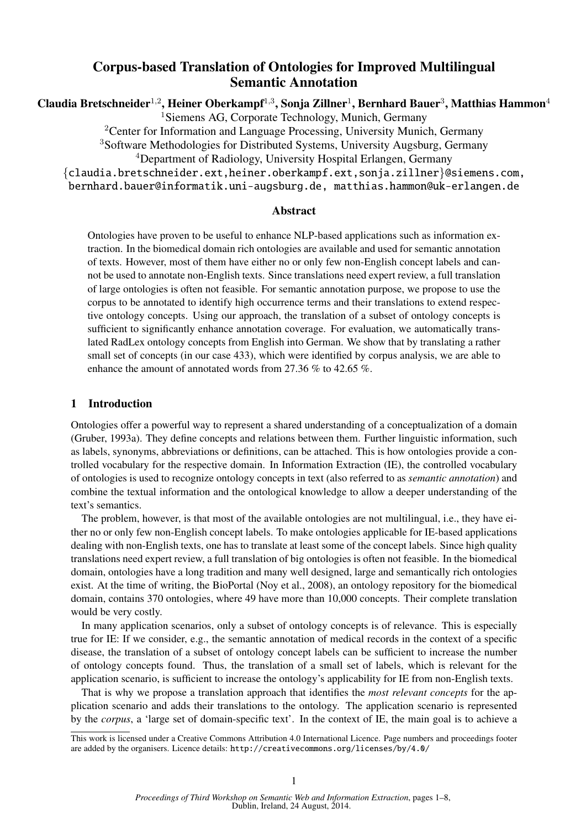# Corpus-based Translation of Ontologies for Improved Multilingual Semantic Annotation

Claudia Bretschneider $^{1,2}$ , Heiner Oberkampf $^{1,3}$ , Sonja Zillner $^{1}$ , Bernhard Bauer $^{3}$ , Matthias Hammon $^{4}$ 

<sup>1</sup>Siemens AG, Corporate Technology, Munich, Germany

<sup>2</sup>Center for Information and Language Processing, University Munich, Germany

<sup>3</sup>Software Methodologies for Distributed Systems, University Augsburg, Germany <sup>4</sup>Department of Radiology, University Hospital Erlangen, Germany

{claudia.bretschneider.ext,heiner.oberkampf.ext,sonja.zillner}@siemens.com, bernhard.bauer@informatik.uni-augsburg.de, matthias.hammon@uk-erlangen.de

### Abstract

Ontologies have proven to be useful to enhance NLP-based applications such as information extraction. In the biomedical domain rich ontologies are available and used for semantic annotation of texts. However, most of them have either no or only few non-English concept labels and cannot be used to annotate non-English texts. Since translations need expert review, a full translation of large ontologies is often not feasible. For semantic annotation purpose, we propose to use the corpus to be annotated to identify high occurrence terms and their translations to extend respective ontology concepts. Using our approach, the translation of a subset of ontology concepts is sufficient to significantly enhance annotation coverage. For evaluation, we automatically translated RadLex ontology concepts from English into German. We show that by translating a rather small set of concepts (in our case 433), which were identified by corpus analysis, we are able to enhance the amount of annotated words from 27.36 % to 42.65 %.

### 1 Introduction

Ontologies offer a powerful way to represent a shared understanding of a conceptualization of a domain (Gruber, 1993a). They define concepts and relations between them. Further linguistic information, such as labels, synonyms, abbreviations or definitions, can be attached. This is how ontologies provide a controlled vocabulary for the respective domain. In Information Extraction (IE), the controlled vocabulary of ontologies is used to recognize ontology concepts in text (also referred to as *semantic annotation*) and combine the textual information and the ontological knowledge to allow a deeper understanding of the text's semantics.

The problem, however, is that most of the available ontologies are not multilingual, i.e., they have either no or only few non-English concept labels. To make ontologies applicable for IE-based applications dealing with non-English texts, one has to translate at least some of the concept labels. Since high quality translations need expert review, a full translation of big ontologies is often not feasible. In the biomedical domain, ontologies have a long tradition and many well designed, large and semantically rich ontologies exist. At the time of writing, the BioPortal (Noy et al., 2008), an ontology repository for the biomedical domain, contains 370 ontologies, where 49 have more than 10,000 concepts. Their complete translation would be very costly.

In many application scenarios, only a subset of ontology concepts is of relevance. This is especially true for IE: If we consider, e.g., the semantic annotation of medical records in the context of a specific disease, the translation of a subset of ontology concept labels can be sufficient to increase the number of ontology concepts found. Thus, the translation of a small set of labels, which is relevant for the application scenario, is sufficient to increase the ontology's applicability for IE from non-English texts.

That is why we propose a translation approach that identifies the *most relevant concepts* for the application scenario and adds their translations to the ontology. The application scenario is represented by the *corpus*, a 'large set of domain-specific text'. In the context of IE, the main goal is to achieve a

This work is licensed under a Creative Commons Attribution 4.0 International Licence. Page numbers and proceedings footer are added by the organisers. Licence details: http://creativecommons.org/licenses/by/4.0/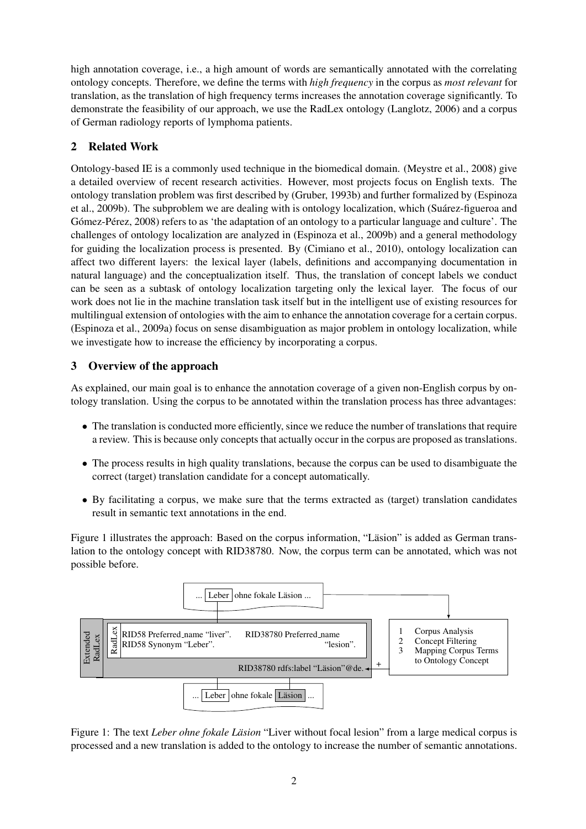high annotation coverage, i.e., a high amount of words are semantically annotated with the correlating ontology concepts. Therefore, we define the terms with *high frequency* in the corpus as *most relevant* for translation, as the translation of high frequency terms increases the annotation coverage significantly. To demonstrate the feasibility of our approach, we use the RadLex ontology (Langlotz, 2006) and a corpus of German radiology reports of lymphoma patients.

# 2 Related Work

Ontology-based IE is a commonly used technique in the biomedical domain. (Meystre et al., 2008) give a detailed overview of recent research activities. However, most projects focus on English texts. The ontology translation problem was first described by (Gruber, 1993b) and further formalized by (Espinoza et al., 2009b). The subproblem we are dealing with is ontology localization, which (Suárez-figueroa and Gómez-Pérez, 2008) refers to as 'the adaptation of an ontology to a particular language and culture'. The challenges of ontology localization are analyzed in (Espinoza et al., 2009b) and a general methodology for guiding the localization process is presented. By (Cimiano et al., 2010), ontology localization can affect two different layers: the lexical layer (labels, definitions and accompanying documentation in natural language) and the conceptualization itself. Thus, the translation of concept labels we conduct can be seen as a subtask of ontology localization targeting only the lexical layer. The focus of our work does not lie in the machine translation task itself but in the intelligent use of existing resources for multilingual extension of ontologies with the aim to enhance the annotation coverage for a certain corpus. (Espinoza et al., 2009a) focus on sense disambiguation as major problem in ontology localization, while we investigate how to increase the efficiency by incorporating a corpus.

# 3 Overview of the approach

As explained, our main goal is to enhance the annotation coverage of a given non-English corpus by ontology translation. Using the corpus to be annotated within the translation process has three advantages:

- The translation is conducted more efficiently, since we reduce the number of translations that require a review. This is because only concepts that actually occur in the corpus are proposed as translations.
- The process results in high quality translations, because the corpus can be used to disambiguate the correct (target) translation candidate for a concept automatically.
- By facilitating a corpus, we make sure that the terms extracted as (target) translation candidates result in semantic text annotations in the end.

Figure 1 illustrates the approach: Based on the corpus information, "Läsion" is added as German translation to the ontology concept with RID38780. Now, the corpus term can be annotated, which was not possible before.



Figure 1: The text *Leber ohne fokale Läsion* "Liver without focal lesion" from a large medical corpus is processed and a new translation is added to the ontology to increase the number of semantic annotations.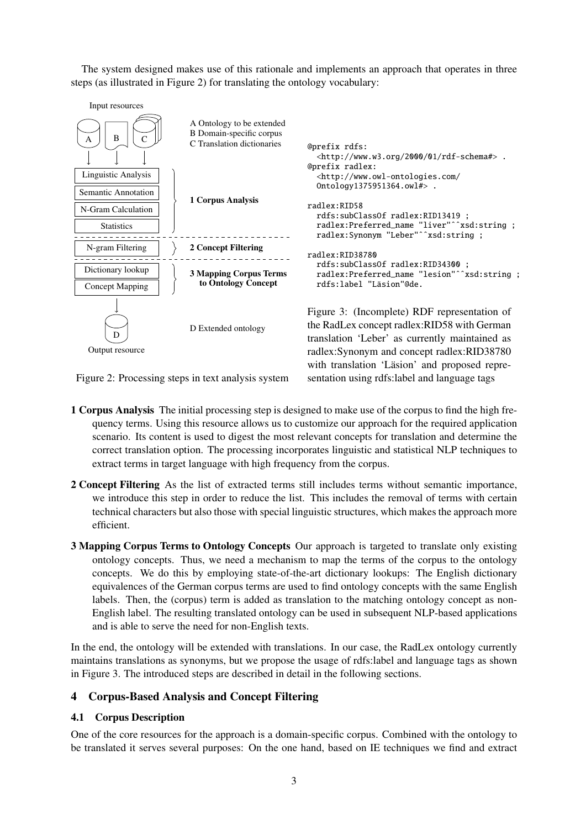The system designed makes use of this rationale and implements an approach that operates in three steps (as illustrated in Figure 2) for translating the ontology vocabulary:



Figure 2: Processing steps in text analysis system

1 Corpus Analysis The initial processing step is designed to make use of the corpus to find the high frequency terms. Using this resource allows us to customize our approach for the required application scenario. Its content is used to digest the most relevant concepts for translation and determine the correct translation option. The processing incorporates linguistic and statistical NLP techniques to extract terms in target language with high frequency from the corpus.

sentation using rdfs:label and language tags

- 2 Concept Filtering As the list of extracted terms still includes terms without semantic importance, we introduce this step in order to reduce the list. This includes the removal of terms with certain technical characters but also those with special linguistic structures, which makes the approach more efficient.
- 3 Mapping Corpus Terms to Ontology Concepts Our approach is targeted to translate only existing ontology concepts. Thus, we need a mechanism to map the terms of the corpus to the ontology concepts. We do this by employing state-of-the-art dictionary lookups: The English dictionary equivalences of the German corpus terms are used to find ontology concepts with the same English labels. Then, the (corpus) term is added as translation to the matching ontology concept as non-English label. The resulting translated ontology can be used in subsequent NLP-based applications and is able to serve the need for non-English texts.

In the end, the ontology will be extended with translations. In our case, the RadLex ontology currently maintains translations as synonyms, but we propose the usage of rdfs:label and language tags as shown in Figure 3. The introduced steps are described in detail in the following sections.

# 4 Corpus-Based Analysis and Concept Filtering

# 4.1 Corpus Description

One of the core resources for the approach is a domain-specific corpus. Combined with the ontology to be translated it serves several purposes: On the one hand, based on IE techniques we find and extract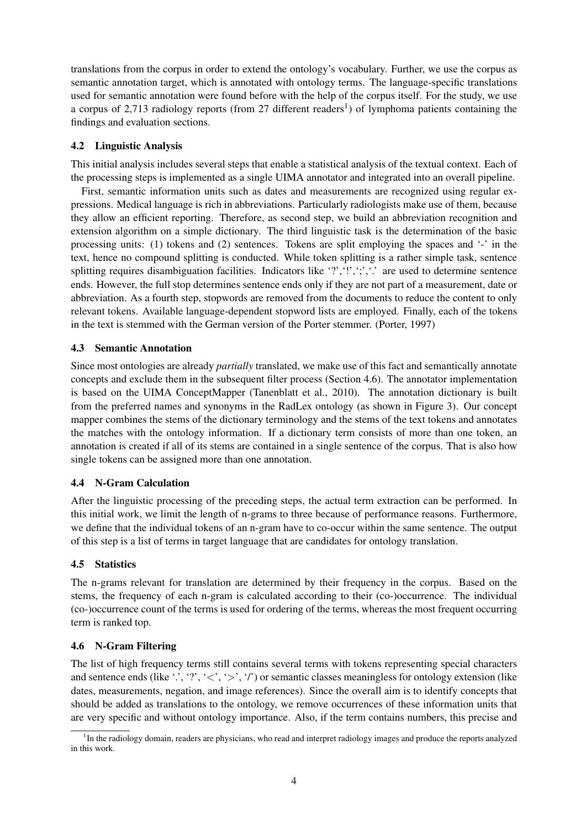translations from the corpus in order to extend the ontology's vocabulary. Further, we use the corpus as semantic annotation target, which is annotated with ontology terms. The language-specific translations used for semantic annotation were found before with the help of the corpus itself. For the study, we use a corpus of 2,713 radiology reports (from 27 different readers<sup>1</sup>) of lymphoma patients containing the findings and evaluation sections.

### 4.2 Linguistic Analysis

This initial analysis includes several steps that enable a statistical analysis of the textual context. Each of the processing steps is implemented as a single UIMA annotator and integrated into an overall pipeline.

First, semantic information units such as dates and measurements are recognized using regular expressions. Medical language is rich in abbreviations. Particularly radiologists make use of them, because they allow an efficient reporting. Therefore, as second step, we build an abbreviation recognition and extension algorithm on a simple dictionary. The third linguistic task is the determination of the basic processing units: (1) tokens and (2) sentences. Tokens are split employing the spaces and '-' in the text, hence no compound splitting is conducted. While token splitting is a rather simple task, sentence splitting requires disambiguation facilities. Indicators like '?','!',';',','.' are used to determine sentence ends. However, the full stop determines sentence ends only if they are not part of a measurement, date or abbreviation. As a fourth step, stopwords are removed from the documents to reduce the content to only relevant tokens. Available language-dependent stopword lists are employed. Finally, each of the tokens in the text is stemmed with the German version of the Porter stemmer. (Porter, 1997)

# 4.3 Semantic Annotation

Since most ontologies are already *partially* translated, we make use of this fact and semantically annotate concepts and exclude them in the subsequent filter process (Section 4.6). The annotator implementation is based on the UIMA ConceptMapper (Tanenblatt et al., 2010). The annotation dictionary is built from the preferred names and synonyms in the RadLex ontology (as shown in Figure 3). Our concept mapper combines the stems of the dictionary terminology and the stems of the text tokens and annotates the matches with the ontology information. If a dictionary term consists of more than one token, an annotation is created if all of its stems are contained in a single sentence of the corpus. That is also how single tokens can be assigned more than one annotation.

# 4.4 N-Gram Calculation

After the linguistic processing of the preceding steps, the actual term extraction can be performed. In this initial work, we limit the length of n-grams to three because of performance reasons. Furthermore, we define that the individual tokens of an n-gram have to co-occur within the same sentence. The output of this step is a list of terms in target language that are candidates for ontology translation.

# 4.5 Statistics

The n-grams relevant for translation are determined by their frequency in the corpus. Based on the stems, the frequency of each n-gram is calculated according to their (co-)occurrence. The individual (co-)occurrence count of the terms is used for ordering of the terms, whereas the most frequent occurring term is ranked top.

# 4.6 N-Gram Filtering

The list of high frequency terms still contains several terms with tokens representing special characters and sentence ends (like '.', '?', ' $\langle \cdot, \cdot \rangle'$ ', '/') or semantic classes meaningless for ontology extension (like dates, measurements, negation, and image references). Since the overall aim is to identify concepts that should be added as translations to the ontology, we remove occurrences of these information units that are very specific and without ontology importance. Also, if the term contains numbers, this precise and

<sup>&</sup>lt;sup>1</sup>In the radiology domain, readers are physicians, who read and interpret radiology images and produce the reports analyzed in this work.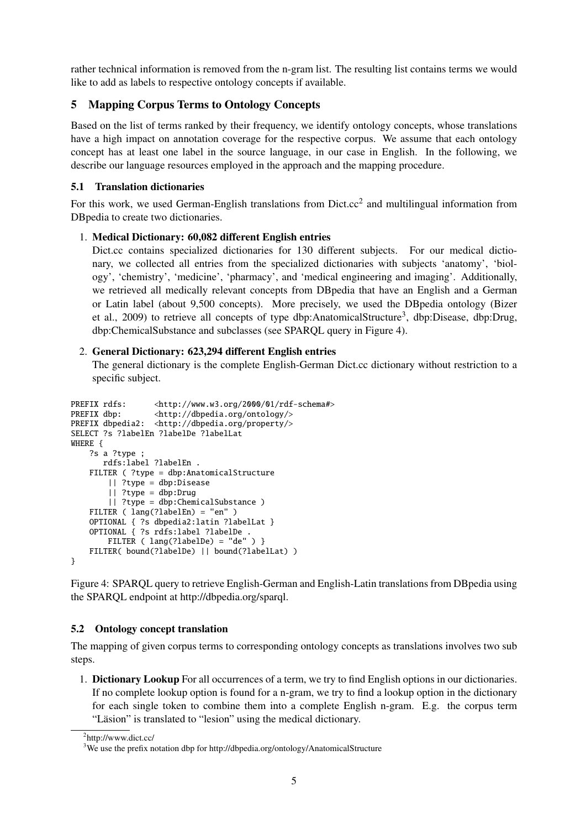rather technical information is removed from the n-gram list. The resulting list contains terms we would like to add as labels to respective ontology concepts if available.

# 5 Mapping Corpus Terms to Ontology Concepts

Based on the list of terms ranked by their frequency, we identify ontology concepts, whose translations have a high impact on annotation coverage for the respective corpus. We assume that each ontology concept has at least one label in the source language, in our case in English. In the following, we describe our language resources employed in the approach and the mapping procedure.

## 5.1 Translation dictionaries

For this work, we used German-English translations from  $Dict$ .cc<sup>2</sup> and multilingual information from DBpedia to create two dictionaries.

### 1. Medical Dictionary: 60,082 different English entries

Dict.cc contains specialized dictionaries for 130 different subjects. For our medical dictionary, we collected all entries from the specialized dictionaries with subjects 'anatomy', 'biology', 'chemistry', 'medicine', 'pharmacy', and 'medical engineering and imaging'. Additionally, we retrieved all medically relevant concepts from DBpedia that have an English and a German or Latin label (about 9,500 concepts). More precisely, we used the DBpedia ontology (Bizer et al., 2009) to retrieve all concepts of type dbp:AnatomicalStructure<sup>3</sup>, dbp:Disease, dbp:Drug, dbp:ChemicalSubstance and subclasses (see SPARQL query in Figure 4).

# 2. General Dictionary: 623,294 different English entries

The general dictionary is the complete English-German Dict.cc dictionary without restriction to a specific subject.

```
PREFIX rdfs: <br> \langlehttp://www.w3.org/2000/01/rdf-schema#><br> PREFIX dbp: \langlehttp://dbpedia.org/ontology/>
                    <http://dbpedia.org/ontology/>
PREFIX dbpedia2: <http://dbpedia.org/property/>
SELECT ?s ?labelEn ?labelDe ?labelLat
WHERE {
    ?s a ?type ;
       rdfs:label ?labelEn .
    FILTER ( ?type = dbp:AnatomicalStructure
         || ?type = dbp:Disease
         || ?type = dbp:Drug
         || ?type = dbp:ChemicalSubstance )
    FILTER ( lang(?labelEn) = "en" )
    OPTIONAL { ?s dbpedia2:latin ?labelLat }
    OPTIONAL { ?s rdfs:label ?labelDe .
         FILTER ( lang(?labelDe) = "de" ) }
    FILTER( bound(?labelDe) || bound(?labelLat) )
}
```
Figure 4: SPARQL query to retrieve English-German and English-Latin translations from DBpedia using the SPARQL endpoint at http://dbpedia.org/sparql.

# 5.2 Ontology concept translation

The mapping of given corpus terms to corresponding ontology concepts as translations involves two sub steps.

1. Dictionary Lookup For all occurrences of a term, we try to find English options in our dictionaries. If no complete lookup option is found for a n-gram, we try to find a lookup option in the dictionary for each single token to combine them into a complete English n-gram. E.g. the corpus term "Läsion" is translated to "lesion" using the medical dictionary.

<sup>&</sup>lt;sup>2</sup>http://www.dict.cc/

<sup>&</sup>lt;sup>3</sup>We use the prefix notation dbp for http://dbpedia.org/ontology/AnatomicalStructure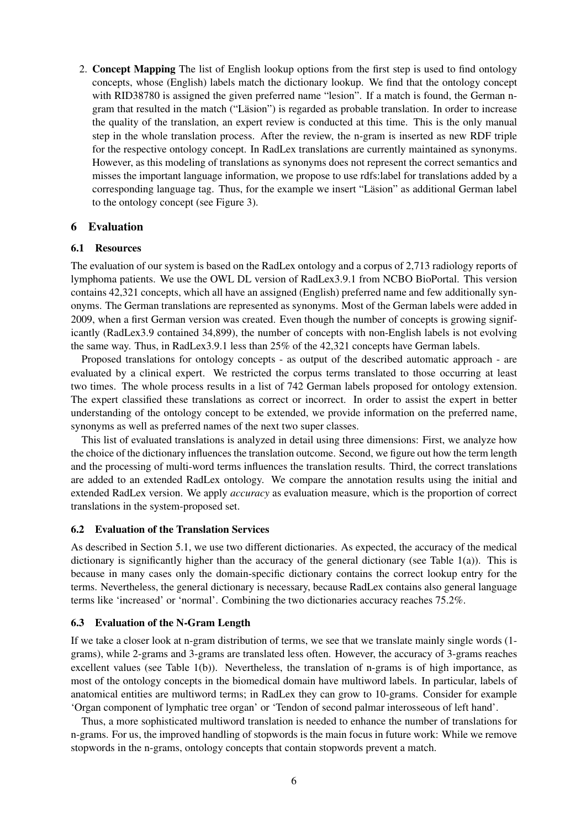2. Concept Mapping The list of English lookup options from the first step is used to find ontology concepts, whose (English) labels match the dictionary lookup. We find that the ontology concept with RID38780 is assigned the given preferred name "lesion". If a match is found, the German ngram that resulted in the match ("Läsion") is regarded as probable translation. In order to increase the quality of the translation, an expert review is conducted at this time. This is the only manual step in the whole translation process. After the review, the n-gram is inserted as new RDF triple for the respective ontology concept. In RadLex translations are currently maintained as synonyms. However, as this modeling of translations as synonyms does not represent the correct semantics and misses the important language information, we propose to use rdfs:label for translations added by a corresponding language tag. Thus, for the example we insert "Läsion" as additional German label to the ontology concept (see Figure 3).

#### 6 Evaluation

#### 6.1 Resources

The evaluation of our system is based on the RadLex ontology and a corpus of 2,713 radiology reports of lymphoma patients. We use the OWL DL version of RadLex3.9.1 from NCBO BioPortal. This version contains 42,321 concepts, which all have an assigned (English) preferred name and few additionally synonyms. The German translations are represented as synonyms. Most of the German labels were added in 2009, when a first German version was created. Even though the number of concepts is growing significantly (RadLex3.9 contained 34,899), the number of concepts with non-English labels is not evolving the same way. Thus, in RadLex3.9.1 less than 25% of the 42,321 concepts have German labels.

Proposed translations for ontology concepts - as output of the described automatic approach - are evaluated by a clinical expert. We restricted the corpus terms translated to those occurring at least two times. The whole process results in a list of 742 German labels proposed for ontology extension. The expert classified these translations as correct or incorrect. In order to assist the expert in better understanding of the ontology concept to be extended, we provide information on the preferred name, synonyms as well as preferred names of the next two super classes.

This list of evaluated translations is analyzed in detail using three dimensions: First, we analyze how the choice of the dictionary influences the translation outcome. Second, we figure out how the term length and the processing of multi-word terms influences the translation results. Third, the correct translations are added to an extended RadLex ontology. We compare the annotation results using the initial and extended RadLex version. We apply *accuracy* as evaluation measure, which is the proportion of correct translations in the system-proposed set.

#### 6.2 Evaluation of the Translation Services

As described in Section 5.1, we use two different dictionaries. As expected, the accuracy of the medical dictionary is significantly higher than the accuracy of the general dictionary (see Table 1(a)). This is because in many cases only the domain-specific dictionary contains the correct lookup entry for the terms. Nevertheless, the general dictionary is necessary, because RadLex contains also general language terms like 'increased' or 'normal'. Combining the two dictionaries accuracy reaches 75.2%.

### 6.3 Evaluation of the N-Gram Length

If we take a closer look at n-gram distribution of terms, we see that we translate mainly single words (1 grams), while 2-grams and 3-grams are translated less often. However, the accuracy of 3-grams reaches excellent values (see Table 1(b)). Nevertheless, the translation of n-grams is of high importance, as most of the ontology concepts in the biomedical domain have multiword labels. In particular, labels of anatomical entities are multiword terms; in RadLex they can grow to 10-grams. Consider for example 'Organ component of lymphatic tree organ' or 'Tendon of second palmar interosseous of left hand'.

Thus, a more sophisticated multiword translation is needed to enhance the number of translations for n-grams. For us, the improved handling of stopwords is the main focus in future work: While we remove stopwords in the n-grams, ontology concepts that contain stopwords prevent a match.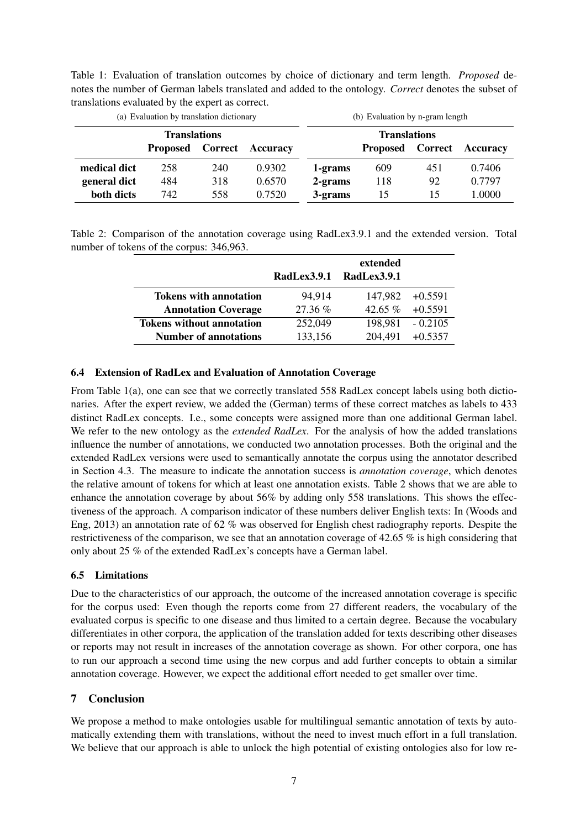Table 1: Evaluation of translation outcomes by choice of dictionary and term length. *Proposed* denotes the number of German labels translated and added to the ontology. *Correct* denotes the subset of translations evaluated by the expert as correct.

| (a) Evaluation by translation dictionary |                 |         |          | (b) Evaluation by n-gram length |                 |         |          |
|------------------------------------------|-----------------|---------|----------|---------------------------------|-----------------|---------|----------|
| <b>Translations</b>                      |                 |         |          | <b>Translations</b>             |                 |         |          |
|                                          | <b>Proposed</b> | Correct | Accuracy |                                 | <b>Proposed</b> | Correct | Accuracy |
| medical dict                             | 258             | 240     | 0.9302   | 1-grams                         | 609             | 451     | 0.7406   |
| general dict                             | 484             | 318     | 0.6570   | 2-grams                         | 118             | 92      | 0.7797   |
| both dicts                               | 742             | 558     | 0.7520   | 3-grams                         | 15              | 15      | 1.0000   |

Table 2: Comparison of the annotation coverage using RadLex3.9.1 and the extended version. Total number of tokens of the corpus: 346,963.

|                                  |         | extended                |           |
|----------------------------------|---------|-------------------------|-----------|
|                                  |         | RadLex3.9.1 RadLex3.9.1 |           |
| <b>Tokens with annotation</b>    | 94,914  | 147.982                 | +0.5591   |
| <b>Annotation Coverage</b>       | 27.36 % | 42.65 $\%$              | $+0.5591$ |
| <b>Tokens without annotation</b> | 252,049 | 198.981                 | $-0.2105$ |
| <b>Number of annotations</b>     | 133,156 | 204,491                 | $+0.5357$ |

### 6.4 Extension of RadLex and Evaluation of Annotation Coverage

From Table 1(a), one can see that we correctly translated 558 RadLex concept labels using both dictionaries. After the expert review, we added the (German) terms of these correct matches as labels to 433 distinct RadLex concepts. I.e., some concepts were assigned more than one additional German label. We refer to the new ontology as the *extended RadLex*. For the analysis of how the added translations influence the number of annotations, we conducted two annotation processes. Both the original and the extended RadLex versions were used to semantically annotate the corpus using the annotator described in Section 4.3. The measure to indicate the annotation success is *annotation coverage*, which denotes the relative amount of tokens for which at least one annotation exists. Table 2 shows that we are able to enhance the annotation coverage by about 56% by adding only 558 translations. This shows the effectiveness of the approach. A comparison indicator of these numbers deliver English texts: In (Woods and Eng, 2013) an annotation rate of 62 % was observed for English chest radiography reports. Despite the restrictiveness of the comparison, we see that an annotation coverage of 42.65 % is high considering that only about 25 % of the extended RadLex's concepts have a German label.

### 6.5 Limitations

Due to the characteristics of our approach, the outcome of the increased annotation coverage is specific for the corpus used: Even though the reports come from 27 different readers, the vocabulary of the evaluated corpus is specific to one disease and thus limited to a certain degree. Because the vocabulary differentiates in other corpora, the application of the translation added for texts describing other diseases or reports may not result in increases of the annotation coverage as shown. For other corpora, one has to run our approach a second time using the new corpus and add further concepts to obtain a similar annotation coverage. However, we expect the additional effort needed to get smaller over time.

### 7 Conclusion

We propose a method to make ontologies usable for multilingual semantic annotation of texts by automatically extending them with translations, without the need to invest much effort in a full translation. We believe that our approach is able to unlock the high potential of existing ontologies also for low re